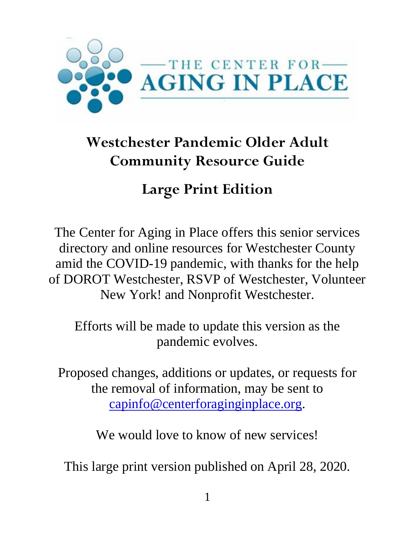

# **Westchester Pandemic Older Adult Community Resource Guide**

## **Large Print Edition**

The Center for Aging in Place offers this senior services directory and online resources for Westchester County amid the COVID-19 pandemic, with thanks for the help of DOROT Westchester, RSVP of Westchester, Volunteer New York! and Nonprofit Westchester.

Efforts will be made to update this version as the pandemic evolves.

Proposed changes, additions or updates, or requests for the removal of information, may be sent to [capinfo@centerforaginginplace.org.](mailto:capinfo@centerforaginginplace.org)

We would love to know of new services!

This large print version published on April 28, 2020.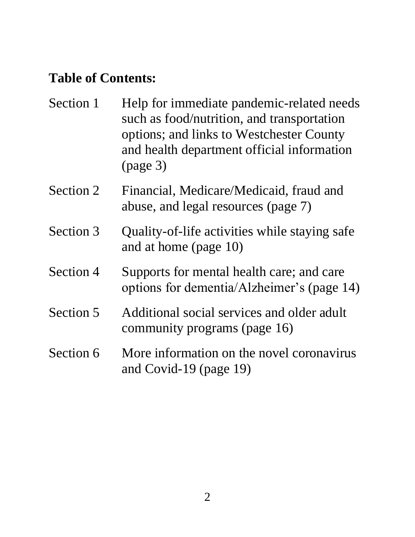### **Table of Contents:**

| Section 1 | Help for immediate pandemic-related needs<br>such as food/nutrition, and transportation<br>options; and links to Westchester County<br>and health department official information<br>(page 3) |
|-----------|-----------------------------------------------------------------------------------------------------------------------------------------------------------------------------------------------|
| Section 2 | Financial, Medicare/Medicaid, fraud and<br>abuse, and legal resources (page 7)                                                                                                                |
| Section 3 | Quality-of-life activities while staying safe<br>and at home (page 10)                                                                                                                        |
| Section 4 | Supports for mental health care; and care<br>options for dementia/Alzheimer's (page 14)                                                                                                       |
| Section 5 | Additional social services and older adult<br>community programs (page 16)                                                                                                                    |
| Section 6 | More information on the novel coronavirus<br>and Covid-19 (page 19)                                                                                                                           |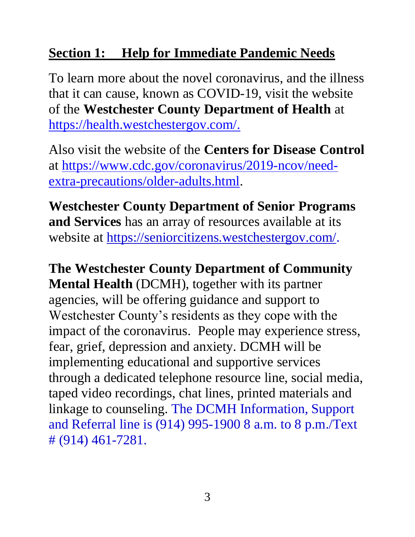#### **Section 1: Help for Immediate Pandemic Needs**

To learn more about the novel coronavirus, and the illness that it can cause, known as COVID-19, visit the website of the **Westchester County Department of Health** at [https://health.westchestergov.com/.](https://health.westchestergov.com/)

Also visit the website of the **Centers for Disease Control** at [https://www.cdc.gov/coronavirus/2019-ncov/need](https://www.cdc.gov/coronavirus/2019-ncov/need-extra-precautions/older-adults.html)[extra-precautions/older-adults.html.](https://www.cdc.gov/coronavirus/2019-ncov/need-extra-precautions/older-adults.html)

**Westchester County Department of Senior Programs and Services** has an array of resources available at its website at [https://seniorcitizens.westchestergov.com/.](https://seniorcitizens.westchestergov.com/)

**The Westchester County Department of Community Mental Health** (DCMH), together with its partner agencies, will be offering guidance and support to Westchester County's residents as they cope with the impact of the coronavirus. People may experience stress, fear, grief, depression and anxiety. DCMH will be implementing educational and supportive services through a dedicated telephone resource line, social media, taped video recordings, chat lines, printed materials and linkage to counseling. The DCMH Information, Support and Referral line is (914) 995-1900 8 a.m. to 8 p.m./Text # (914) 461-7281.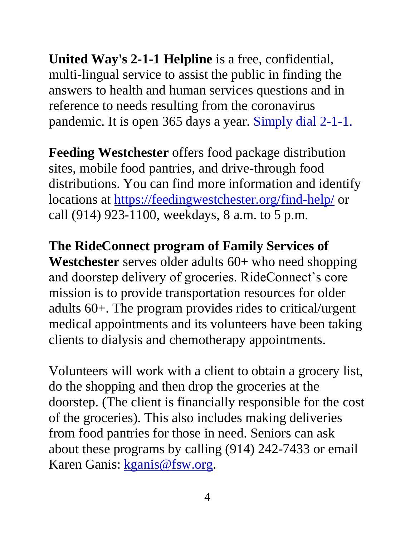**United Way's 2-1-1 Helpline** is a free, confidential, multi-lingual service to assist the public in finding the answers to health and human services questions and in reference to needs resulting from the coronavirus pandemic. It is open 365 days a year. Simply dial 2-1-1.

**Feeding Westchester** offers food package distribution sites, mobile food pantries, and drive-through food distributions. You can find more information and identify locations at<https://feedingwestchester.org/find-help/> or call (914) 923-1100, weekdays, 8 a.m. to 5 p.m.

**The RideConnect program of Family Services of Westchester** serves older adults 60+ who need shopping and doorstep delivery of groceries. RideConnect's core mission is to provide transportation resources for older adults 60+. The program provides rides to critical/urgent medical appointments and its volunteers have been taking clients to dialysis and chemotherapy appointments.

Volunteers will work with a client to obtain a grocery list, do the shopping and then drop the groceries at the doorstep. (The client is financially responsible for the cost of the groceries). This also includes making deliveries from food pantries for those in need. Seniors can ask about these programs by calling (914) 242-7433 or email Karen Ganis: [kganis@fsw.org.](mailto:kganis@fsw.org)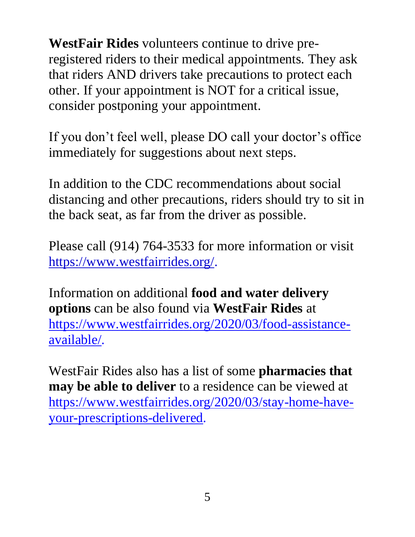**WestFair Rides** volunteers continue to drive preregistered riders to their medical appointments. They ask that riders AND drivers take precautions to protect each other. If your appointment is NOT for a critical issue, consider postponing your appointment.

If you don't feel well, please DO call your doctor's office immediately for suggestions about next steps.

In addition to the CDC recommendations about social distancing and other precautions, riders should try to sit in the back seat, as far from the driver as possible.

Please call (914) 764-3533 for more information or visit [https://www.westfairrides.org/.](https://www.westfairrides.org/)

Information on additional **food and water delivery options** can be also found via **WestFair Rides** at [https://www.westfairrides.org/2020/03/food-assistance](https://www.westfairrides.org/2020/03/food-assistance-available/)[available/.](https://www.westfairrides.org/2020/03/food-assistance-available/)

WestFair Rides also has a list of some **pharmacies that may be able to deliver** to a residence can be viewed at [https://www.westfairrides.org/2020/03/stay-home-have](https://www.westfairrides.org/2020/03/stay-home-have-your-prescriptions-delivered)[your-prescriptions-delivered.](https://www.westfairrides.org/2020/03/stay-home-have-your-prescriptions-delivered)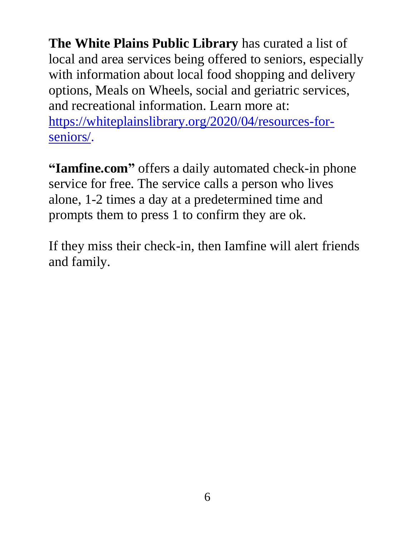**The White Plains Public Library** has curated a list of local and area services being offered to seniors, especially with information about local food shopping and delivery options, Meals on Wheels, social and geriatric services, and recreational information. Learn more at: [https://whiteplainslibrary.org/2020/04/resources-for](https://whiteplainslibrary.org/2020/04/resources-for-seniors/)[seniors/.](https://whiteplainslibrary.org/2020/04/resources-for-seniors/)

**["Iamfine.com"](http://iamfine.com/)** offers a daily automated check-in phone service for free. The service calls a person who lives alone, 1-2 times a day at a predetermined time and prompts them to press 1 to confirm they are ok.

If they miss their check-in, then Iamfine will alert friends and family.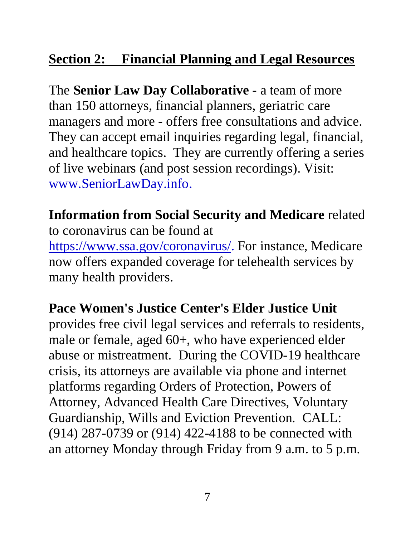#### **Section 2: Financial Planning and Legal Resources**

The **Senior Law Day Collaborative** - a team of more than 150 attorneys, financial planners, geriatric care managers and more - offers free consultations and advice. They can accept email inquiries regarding legal, financial, and healthcare topics. They are currently offering a series of live webinars (and post session recordings). Visit: [www.SeniorLawDay.info.](http://www.seniorlawday.info/)

#### **Information from Social Security and Medicare** related to coronavirus can be found at

[https://www.ssa.gov/coronavirus/.](https://www.ssa.gov/coronavirus/) For instance, Medicare now offers expanded coverage for telehealth services by many health providers.

#### **Pace Women's Justice Center's Elder Justice Unit**

provides free civil legal services and referrals to residents, male or female, aged 60+, who have experienced elder abuse or mistreatment. During the COVID-19 healthcare crisis, its attorneys are available via phone and internet platforms regarding Orders of Protection, Powers of Attorney, Advanced Health Care Directives, Voluntary Guardianship, Wills and Eviction Prevention. CALL: (914) 287-0739 or (914) 422-4188 to be connected with an attorney Monday through Friday from 9 a.m. to 5 p.m.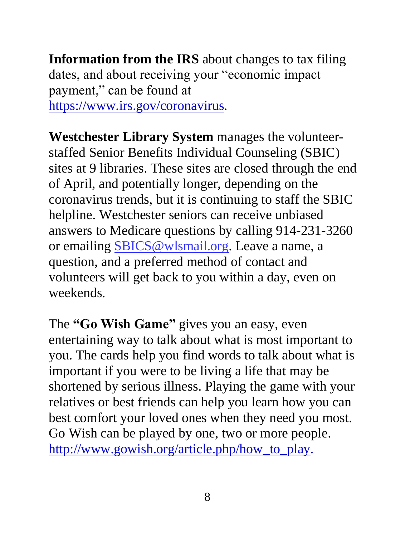**Information from the IRS** about changes to tax filing dates, and about receiving your "economic impact payment," can be found at [https://www.irs.gov/coronavirus.](https://www.irs.gov/coronavirus)

**Westchester Library System** manages the volunteerstaffed Senior Benefits Individual Counseling (SBIC) sites at 9 libraries. These sites are closed through the end of April, and potentially longer, depending on the coronavirus trends, but it is continuing to staff the SBIC helpline. Westchester seniors can receive unbiased answers to Medicare questions by calling 914-231-3260 or emailing [SBICS@wlsmail.org.](mailto:SBICS@wlsmail.org) Leave a name, a question, and a preferred method of contact and volunteers will get back to you within a day, even on weekends.

The "Go Wish Game" gives you an easy, even entertaining way to talk about what is most important to you. The cards help you find words to talk about what is important if you were to be living a life that may be shortened by serious illness. Playing the game with your relatives or best friends can help you learn how you can best comfort your loved ones when they need you most. Go Wish can be played by one, two or more people. [http://www.gowish.org/article.php/how\\_to\\_play.](http://www.gowish.org/article.php/how_to_play)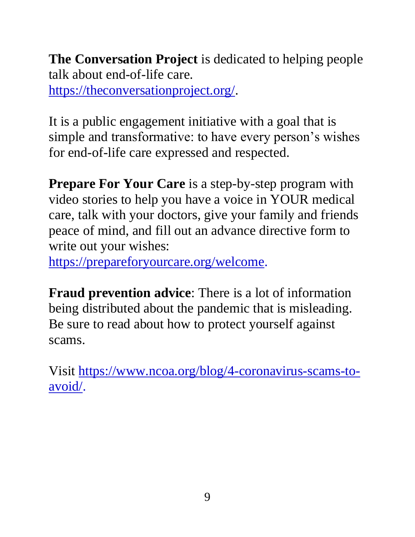**The Conversation Project** is dedicated to helping people talk about end-of-life care.

[https://theconversationproject.org/.](https://theconversationproject.org/)

It is a public engagement initiative with a goal that is simple and transformative: to have every person's wishes for end-of-life care expressed and respected.

**Prepare For Your Care** is a step-by-step program with video stories to help you have a voice in YOUR medical care, talk with your doctors, give your family and friends peace of mind, and fill out an advance directive form to write out your wishes:

[https://prepareforyourcare.org/welcome.](https://prepareforyourcare.org/welcome)

**Fraud prevention advice**: There is a lot of information being distributed about the pandemic that is misleading. Be sure to read about how to protect yourself against scams.

Visit [https://www.ncoa.org/blog/4-coronavirus-scams-to](https://www.ncoa.org/blog/4-coronavirus-scams-to-avoid/)[avoid/.](https://www.ncoa.org/blog/4-coronavirus-scams-to-avoid/)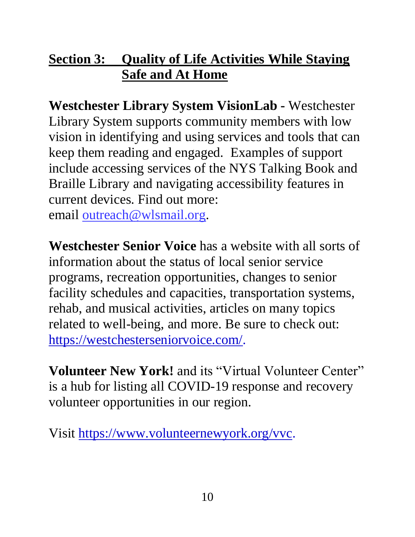#### **Section 3: Quality of Life Activities While Staying Safe and At Home**

**Westchester Library System VisionLab -** Westchester Library System supports community members with low vision in identifying and using services and tools that can keep them reading and engaged. Examples of support include accessing services of the NYS Talking Book and Braille Library and navigating accessibility features in current devices. Find out more: email [outreach@wlsmail.org.](mailto:outreach@wlsmail.org)

**Westchester Senior Voice** has a website with all sorts of information about the status of local senior service programs, recreation opportunities, changes to senior facility schedules and capacities, transportation systems, rehab, and musical activities, articles on many topics related to well-being, and more. Be sure to check out: [https://westchesterseniorvoice.com/.](https://westchesterseniorvoice.com/)

**Volunteer New York!** and its "Virtual Volunteer Center" is a hub for listing all COVID-19 response and recovery volunteer opportunities in our region.

Visit [https://www.volunteernewyork.org/vvc.](https://www.volunteernewyork.org/vvc)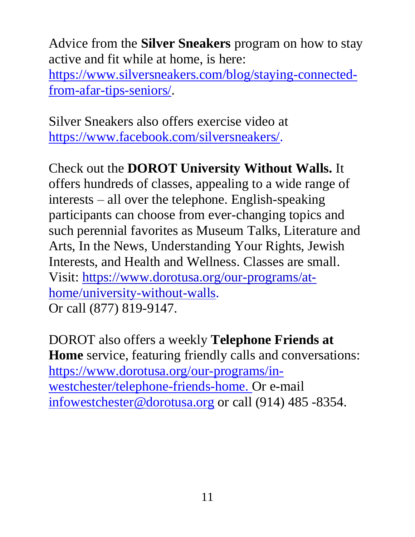Advice from the **Silver Sneakers** program on how to stay active and fit while at home, is here: [https://www.silversneakers.com/blog/staying-connected](https://www.silversneakers.com/blog/staying-connected-from-afar-tips-seniors/)[from-afar-tips-seniors/.](https://www.silversneakers.com/blog/staying-connected-from-afar-tips-seniors/)

Silver Sneakers also offers exercise video at [https://www.facebook.com/silversneakers/.](https://www.facebook.com/silversneakers/)

Check out the **DOROT University Without Walls.** It offers hundreds of classes, appealing to a wide range of interests – all over the telephone. English-speaking participants can choose from ever-changing topics and such perennial favorites as Museum Talks, Literature and Arts, In the News, Understanding Your Rights, Jewish Interests, and Health and Wellness. Classes are small. Visit: [https://www.dorotusa.org/our-programs/at](https://www.dorotusa.org/our-programs/at-home/university-without-walls)[home/university-without-walls.](https://www.dorotusa.org/our-programs/at-home/university-without-walls) Or call (877) 819-9147.

DOROT also offers a weekly **Telephone Friends at Home** service, featuring friendly calls and conversations: [https://www.dorotusa.org/our-programs/in](https://www.dorotusa.org/our-programs/in-westchester/telephone-friends-home)[westchester/telephone-friends-home.](https://www.dorotusa.org/our-programs/in-westchester/telephone-friends-home) Or e-mail [infowestchester@dorotusa.org](mailto:infowestchester@dorotusa.org) or call (914) 485 -8354.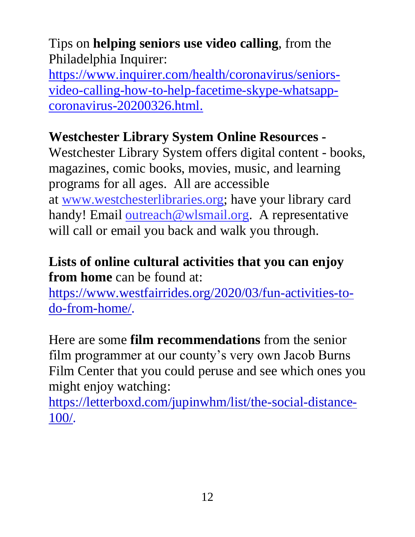Tips on **helping seniors use video calling**, from the Philadelphia Inquirer:

[https://www.inquirer.com/health/coronavirus/seniors](https://www.inquirer.com/health/coronavirus/seniors-video-calling-how-to-help-facetime-skype-whatsapp-coronavirus-20200326.html)[video-calling-how-to-help-facetime-skype-whatsapp](https://www.inquirer.com/health/coronavirus/seniors-video-calling-how-to-help-facetime-skype-whatsapp-coronavirus-20200326.html)[coronavirus-20200326.html.](https://www.inquirer.com/health/coronavirus/seniors-video-calling-how-to-help-facetime-skype-whatsapp-coronavirus-20200326.html)

#### **Westchester Library System Online Resources -**

Westchester Library System offers digital content - books, magazines, comic books, movies, music, and learning programs for all ages. All are accessible at [www.westchesterlibraries.org;](http://www.westchesterlibraries.org/) have your library card handy! Email [outreach@wlsmail.org.](mailto:outreach@wlsmail.org) A representative will call or email you back and walk you through.

#### **Lists of online cultural activities that you can enjoy from home** can be found at:

[https://www.westfairrides.org/2020/03/fun-activities-to](https://www.westfairrides.org/2020/03/fun-activities-to-do-from-home/)[do-from-home/.](https://www.westfairrides.org/2020/03/fun-activities-to-do-from-home/)

Here are some **film recommendations** from the senior film programmer at our county's very own Jacob Burns Film Center that you could peruse and see which ones you might enjoy watching:

[https://letterboxd.com/jupinwhm/list/the-social-distance-](https://letterboxd.com/jupinwhm/list/the-social-distance-100/)[100/.](https://letterboxd.com/jupinwhm/list/the-social-distance-100/)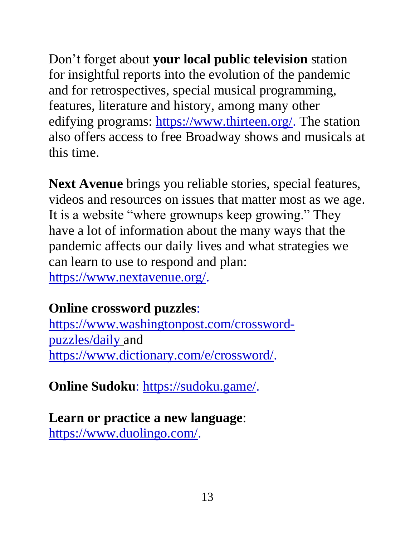Don't forget about **your local public television** station for insightful reports into the evolution of the pandemic and for retrospectives, special musical programming, features, literature and history, among many other edifying programs: [https://www.thirteen.org/.](https://www.thirteen.org/) The station also offers access to free Broadway shows and musicals at this time.

**Next Avenue** brings you reliable stories, special features, videos and resources on issues that matter most as we age. It is a website "where grownups keep growing." They have a lot of information about the many ways that the pandemic affects our daily lives and what strategies we can learn to use to respond and plan: [https://www.nextavenue.org/.](https://www.nextavenue.org/)

#### **Online crossword puzzles**:

[https://www.washingtonpost.com/crossword](https://www.washingtonpost.com/crossword-puzzles/daily)[puzzles/daily](https://www.washingtonpost.com/crossword-puzzles/daily) and [https://www.dictionary.com/e/crossword/.](https://www.dictionary.com/e/crossword/)

**Online Sudoku**: [https://sudoku.game/.](https://sudoku.game/)

**Learn or practice a new language**: [https://www.duolingo.com/.](https://www.duolingo.com/)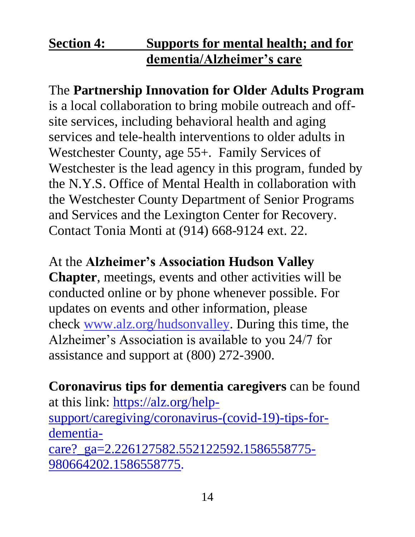#### **Section 4: Supports for mental health; and for dementia/Alzheimer's care**

The **Partnership Innovation for Older Adults Program** is a local collaboration to bring mobile outreach and offsite services, including behavioral health and aging services and tele-health interventions to older adults in Westchester County, age 55+. Family Services of Westchester is the lead agency in this program, funded by the N.Y.S. Office of Mental Health in collaboration with the Westchester County Department of Senior Programs and Services and the Lexington Center for Recovery. Contact Tonia Monti at (914) 668-9124 ext. 22.

#### At the **Alzheimer's Association Hudson Valley**

**Chapter**, meetings, events and other activities will be conducted online or by phone whenever possible. For updates on events and other information, please check [www.alz.org/hudsonvalley.](http://www.alz.org/hudsonvalley) During this time, the Alzheimer's Association is available to you 24/7 for assistance and support at (800) 272-3900.

**Coronavirus tips for dementia caregivers** can be found at this link: [https://alz.org/help](https://alz.org/help-support/caregiving/coronavirus-(covid-19)-tips-for-dementia-care?_ga=2.226127582.552122592.1586558775-980664202.1586558775)[support/caregiving/coronavirus-\(covid-19\)-tips-for](https://alz.org/help-support/caregiving/coronavirus-(covid-19)-tips-for-dementia-care?_ga=2.226127582.552122592.1586558775-980664202.1586558775)[dementia](https://alz.org/help-support/caregiving/coronavirus-(covid-19)-tips-for-dementia-care?_ga=2.226127582.552122592.1586558775-980664202.1586558775)[care?\\_ga=2.226127582.552122592.1586558775-](https://alz.org/help-support/caregiving/coronavirus-(covid-19)-tips-for-dementia-care?_ga=2.226127582.552122592.1586558775-980664202.1586558775) [980664202.1586558775.](https://alz.org/help-support/caregiving/coronavirus-(covid-19)-tips-for-dementia-care?_ga=2.226127582.552122592.1586558775-980664202.1586558775)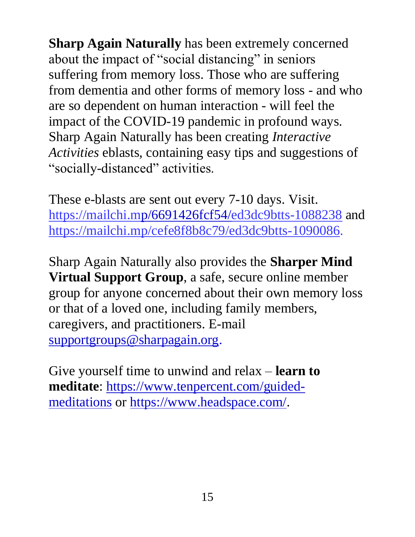**Sharp Again Naturally** has been extremely concerned about the impact of "social distancing" in seniors suffering from memory loss. Those who are suffering from dementia and other forms of memory loss - and who are so dependent on human interaction - will feel the impact of the COVID-19 pandemic in profound ways. Sharp Again Naturally has been creating *Interactive Activities* eblasts, containing easy tips and suggestions of "socially-distanced" activities.

These e-blasts are sent out every 7-10 days. Visit. <https://mailchi.mp/6691426fcf54/ed3dc9btts-1088238> and [https://mailchi.mp/cefe8f8b8c79/ed3dc9btts-1090086.](https://mailchi.mp/cefe8f8b8c79/ed3dc9btts-1090086)

Sharp Again Naturally also provides the **Sharper Mind Virtual Support Group**, a safe, secure online member group for anyone concerned about their own memory loss or that of a loved one, including family members, caregivers, and practitioners. E-mail [supportgroups@sharpagain.org.](mailto:supportgroups@sharpagain.org)

Give yourself time to unwind and relax – **learn to meditate**: [https://www.tenpercent.com/guided](https://www.tenpercent.com/guided-meditations)[meditations](https://www.tenpercent.com/guided-meditations) or [https://www.headspace.com/.](https://www.headspace.com/)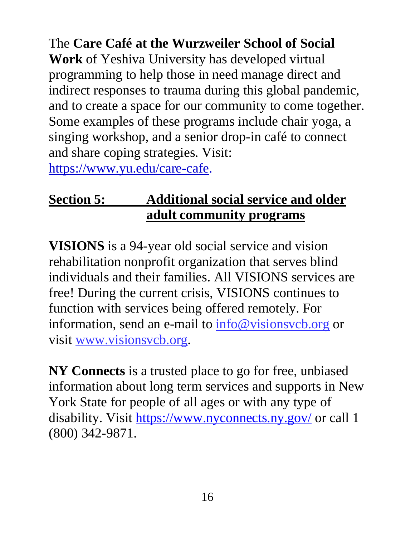The **Care Café at the Wurzweiler School of Social Work** of Yeshiva University has developed virtual programming to help those in need manage direct and indirect responses to trauma during this global pandemic, and to create a space for our community to come together. Some examples of these programs include chair yoga, a singing workshop, and a senior drop-in café to connect and share coping strategies. Visit: [https://www.yu.edu/care-cafe.](https://www.yu.edu/care-cafe)

#### **Section 5: Additional social service and older adult community programs**

**VISIONS** is a 94-year old social service and vision rehabilitation nonprofit organization that serves blind individuals and their families. All VISIONS services are free! During the current crisis, VISIONS continues to function with services being offered remotely. For information, send an e-mail to [info@visionsvcb.org](mailto:info@visionsvcb.org) or visit [www.visionsvcb.org.](http://www.visionsvcb.org/)

**NY Connects** is a trusted place to go for free, unbiased information about long term services and supports in New York State for people of all ages or with any type of disability. Visit <https://www.nyconnects.ny.gov/> or call 1 (800) 342-9871.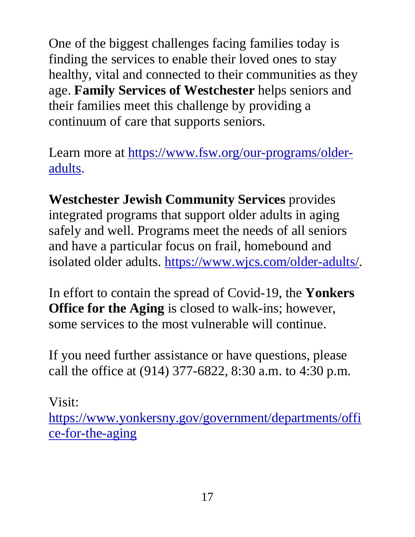One of the biggest challenges facing families today is finding the services to enable their loved ones to stay healthy, vital and connected to their communities as they age. **Family Services of Westchester** helps seniors and their families meet this challenge by providing a continuum of care that supports seniors.

Learn more at [https://www.fsw.org/our-programs/older](https://www.fsw.org/our-programs/older-adults)[adults.](https://www.fsw.org/our-programs/older-adults)

**Westchester Jewish Community Services** provides integrated programs that support older adults in aging safely and well. Programs meet the needs of all seniors and have a particular focus on frail, homebound and isolated older adults. [https://www.wjcs.com/older-adults/.](https://www.wjcs.com/older-adults/)

In effort to contain the spread of Covid-19, the **Yonkers Office for the Aging** is closed to walk-ins; however, some services to the most vulnerable will continue.

If you need further assistance or have questions, please call the office at (914) 377-6822, 8:30 a.m. to 4:30 p.m.

Visit:

[https://www.yonkersny.gov/government/departments/offi](https://www.yonkersny.gov/government/departments/office-for-the-aging) [ce-for-the-aging](https://www.yonkersny.gov/government/departments/office-for-the-aging)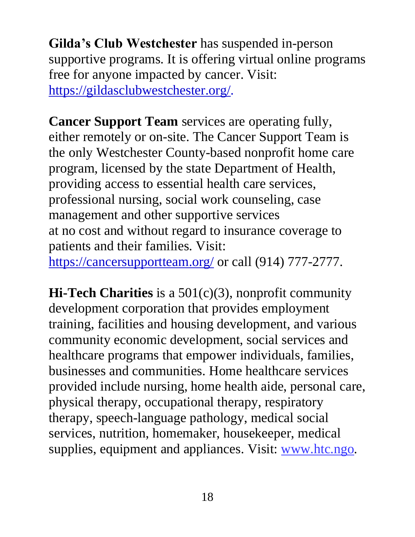**Gilda's Club Westchester** has suspended in-person supportive programs. It is offering virtual online programs free for anyone impacted by cancer. Visit: [https://gildasclubwestchester.org/.](https://gildasclubwestchester.org/)

**Cancer Support Team** services are operating fully, either remotely or on-site. The Cancer Support Team is the only Westchester County-based nonprofit home care program, licensed by the state Department of Health, providing access to essential health care services, professional nursing, social work counseling, case management and other supportive services at no cost and without regard to insurance coverage to patients and their families. Visit: <https://cancersupportteam.org/> or call (914) 777-2777.

**Hi-Tech Charities** is a 501(c)(3), nonprofit community development corporation that provides employment training, facilities and housing development, and various community economic development, social services and healthcare programs that empower individuals, families, businesses and communities. Home healthcare services provided include nursing, home health aide, personal care, physical therapy, occupational therapy, respiratory therapy, speech-language pathology, medical social services, nutrition, homemaker, housekeeper, medical supplies, equipment and appliances. Visit: [www.htc.ngo.](http://www.htc.ngo/)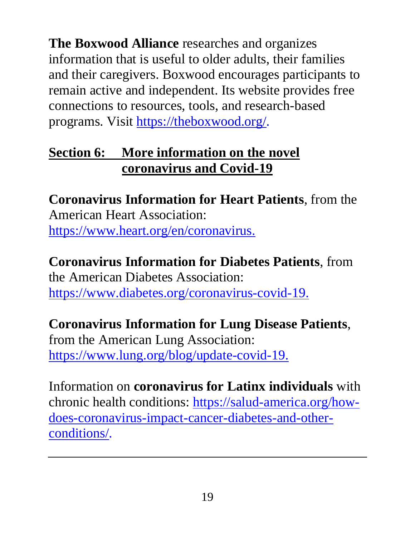**The Boxwood Alliance** researches and organizes information that is useful to older adults, their families and their caregivers. Boxwood encourages participants to remain active and independent. Its website provides free connections to resources, tools, and research-based programs. Visit [https://theboxwood.org/.](https://theboxwood.org/)

#### **Section 6: More information on the novel coronavirus and Covid-19**

**Coronavirus Information for Heart Patients**, from the American Heart Association: https://www.heart.org/en/coronavirus.

**Coronavirus Information for Diabetes Patients**, from the American Diabetes Association: [https://www.diabetes.org/coronavirus-covid-19.](https://www.diabetes.org/coronavirus-covid-19)

### **Coronavirus Information for Lung Disease Patients**,

from the American Lung Association: [https://www.lung.org/blog/update-covid-19.](https://www.lung.org/blog/update-covid-19)

Information on **coronavirus for Latinx individuals** with chronic health conditions: [https://salud-america.org/how](https://salud-america.org/how-does-coronavirus-impact-cancer-diabetes-and-other-conditions/)[does-coronavirus-impact-cancer-diabetes-and-other](https://salud-america.org/how-does-coronavirus-impact-cancer-diabetes-and-other-conditions/)[conditions/.](https://salud-america.org/how-does-coronavirus-impact-cancer-diabetes-and-other-conditions/)